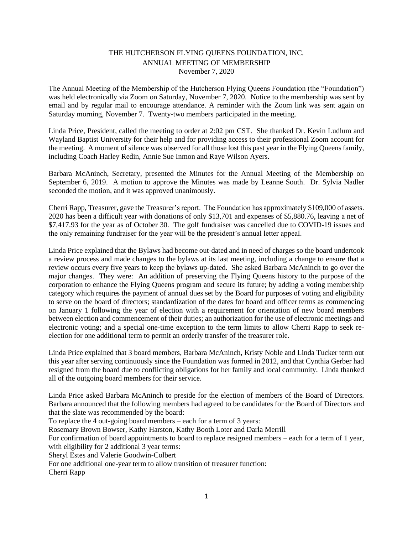## THE HUTCHERSON FLYING QUEENS FOUNDATION, INC. ANNUAL MEETING OF MEMBERSHIP November 7, 2020

The Annual Meeting of the Membership of the Hutcherson Flying Queens Foundation (the "Foundation") was held electronically via Zoom on Saturday, November 7, 2020. Notice to the membership was sent by email and by regular mail to encourage attendance. A reminder with the Zoom link was sent again on Saturday morning, November 7. Twenty-two members participated in the meeting.

Linda Price, President, called the meeting to order at 2:02 pm CST. She thanked Dr. Kevin Ludlum and Wayland Baptist University for their help and for providing access to their professional Zoom account for the meeting. A moment of silence was observed for all those lost this past year in the Flying Queens family, including Coach Harley Redin, Annie Sue Inmon and Raye Wilson Ayers.

Barbara McAninch, Secretary, presented the Minutes for the Annual Meeting of the Membership on September 6, 2019. A motion to approve the Minutes was made by Leanne South. Dr. Sylvia Nadler seconded the motion, and it was approved unanimously.

Cherri Rapp, Treasurer, gave the Treasurer's report. The Foundation has approximately \$109,000 of assets. 2020 has been a difficult year with donations of only \$13,701 and expenses of \$5,880.76, leaving a net of \$7,417.93 for the year as of October 30. The golf fundraiser was cancelled due to COVID-19 issues and the only remaining fundraiser for the year will be the president's annual letter appeal.

Linda Price explained that the Bylaws had become out-dated and in need of charges so the board undertook a review process and made changes to the bylaws at its last meeting, including a change to ensure that a review occurs every five years to keep the bylaws up-dated. She asked Barbara McAninch to go over the major changes. They were: An addition of preserving the Flying Queens history to the purpose of the corporation to enhance the Flying Queens program and secure its future; by adding a voting membership category which requires the payment of annual dues set by the Board for purposes of voting and eligibility to serve on the board of directors; standardization of the dates for board and officer terms as commencing on January 1 following the year of election with a requirement for orientation of new board members between election and commencement of their duties; an authorization for the use of electronic meetings and electronic voting; and a special one-time exception to the term limits to allow Cherri Rapp to seek reelection for one additional term to permit an orderly transfer of the treasurer role.

Linda Price explained that 3 board members, Barbara McAninch, Kristy Noble and Linda Tucker term out this year after serving continuously since the Foundation was formed in 2012, and that Cynthia Gerber had resigned from the board due to conflicting obligations for her family and local community. Linda thanked all of the outgoing board members for their service.

Linda Price asked Barbara McAninch to preside for the election of members of the Board of Directors. Barbara announced that the following members had agreed to be candidates for the Board of Directors and that the slate was recommended by the board: To replace the 4 out-going board members – each for a term of 3 years: Rosemary Brown Bowser, Kathy Harston, Kathy Booth Loter and Darla Merrill For confirmation of board appointments to board to replace resigned members – each for a term of 1 year, with eligibility for 2 additional 3 year terms: Sheryl Estes and Valerie Goodwin-Colbert For one additional one-year term to allow transition of treasurer function: Cherri Rapp